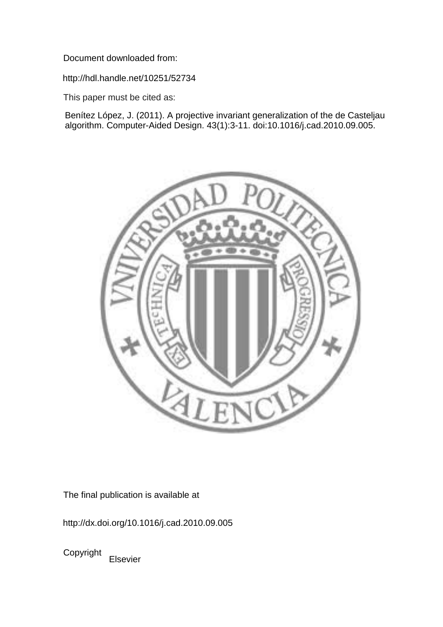Document downloaded from:

http://hdl.handle.net/10251/52734

This paper must be cited as:

Benítez López, J. (2011). A projective invariant generalization of the de Casteljau algorithm. Computer-Aided Design. 43(1):3-11. doi:10.1016/j.cad.2010.09.005.



The final publication is available at

http://dx.doi.org/10.1016/j.cad.2010.09.005

Copyright Elsevier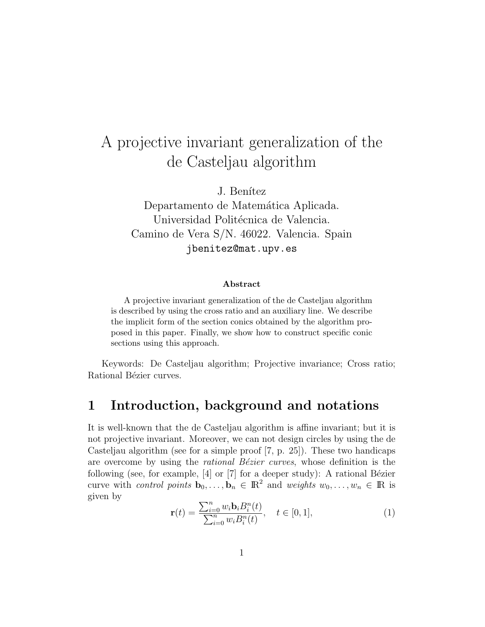# A projective invariant generalization of the de Casteljau algorithm

J. Benítez

Departamento de Matemática Aplicada. Universidad Politécnica de Valencia. Camino de Vera S/N. 46022. Valencia. Spain jbenitez@mat.upv.es

#### Abstract

A projective invariant generalization of the de Casteljau algorithm is described by using the cross ratio and an auxiliary line. We describe the implicit form of the section conics obtained by the algorithm proposed in this paper. Finally, we show how to construct specific conic sections using this approach.

Keywords: De Casteljau algorithm; Projective invariance; Cross ratio; Rational Bézier curves.

### 1 Introduction, background and notations

It is well-known that the de Casteljau algorithm is affine invariant; but it is not projective invariant. Moreover, we can not design circles by using the de Casteljau algorithm (see for a simple proof [7, p. 25]). These two handicaps are overcome by using the *rational Bézier curves*, whose definition is the following (see, for example,  $[4]$  or  $[7]$  for a deeper study): A rational Bézier curve with *control points*  $\mathbf{b}_0, \ldots, \mathbf{b}_n \in \mathbb{R}^2$  and *weights*  $w_0, \ldots, w_n \in \mathbb{R}$  is given by

$$
\mathbf{r}(t) = \frac{\sum_{i=0}^{n} w_i \mathbf{b}_i B_i^n(t)}{\sum_{i=0}^{n} w_i B_i^n(t)}, \quad t \in [0, 1],
$$
 (1)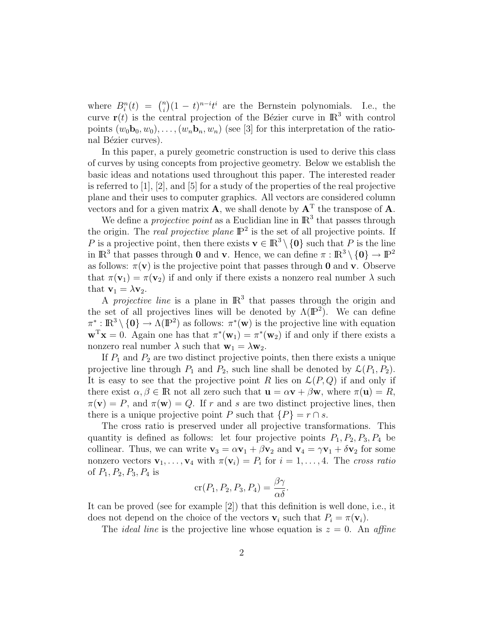where  $B_i^n(t) = \binom{n}{i}$  $\binom{n}{i}(1-t)^{n-i}t^i$  are the Bernstein polynomials. I.e., the curve  $\mathbf{r}(t)$  is the central projection of the Bézier curve in  $\mathbb{R}^3$  with control points  $(w_0\mathbf{b}_0, w_0), \ldots, (w_n\mathbf{b}_n, w_n)$  (see [3] for this interpretation of the rational Bézier curves).

In this paper, a purely geometric construction is used to derive this class of curves by using concepts from projective geometry. Below we establish the basic ideas and notations used throughout this paper. The interested reader is referred to  $[1], [2],$  and  $[5]$  for a study of the properties of the real projective plane and their uses to computer graphics. All vectors are considered column vectors and for a given matrix **A**, we shall denote by  $A<sup>T</sup>$  the transpose of **A**.

We define a *projective point* as a Euclidian line in  $\mathbb{R}^3$  that passes through the origin. The *real projective plane*  $\mathbb{P}^2$  is the set of all projective points. If P is a projective point, then there exists  $\mathbf{v} \in \mathbb{R}^3 \setminus \{\mathbf{0}\}\$  such that P is the line in  $\mathbb{R}^3$  that passes through 0 and v. Hence, we can define  $\pi : \mathbb{R}^3 \setminus \{0\} \to \mathbb{P}^2$ as follows:  $\pi(\mathbf{v})$  is the projective point that passes through **0** and **v**. Observe that  $\pi(\mathbf{v}_1) = \pi(\mathbf{v}_2)$  if and only if there exists a nonzero real number  $\lambda$  such that  $\mathbf{v}_1 = \lambda \mathbf{v}_2$ .

A *projective line* is a plane in  $\mathbb{R}^3$  that passes through the origin and the set of all projectives lines will be denoted by  $\Lambda(\mathbb{P}^2)$ . We can define  $\pi^*: \mathbb{R}^3 \setminus \{0\} \to \Lambda(\mathbb{P}^2)$  as follows:  $\pi^*(\mathbf{w})$  is the projective line with equation  $\mathbf{w}^{\mathrm{T}}\mathbf{x} = 0$ . Again one has that  $\pi^*(\mathbf{w}_1) = \pi^*(\mathbf{w}_2)$  if and only if there exists a nonzero real number  $\lambda$  such that  $\mathbf{w}_1 = \lambda \mathbf{w}_2$ .

If  $P_1$  and  $P_2$  are two distinct projective points, then there exists a unique projective line through  $P_1$  and  $P_2$ , such line shall be denoted by  $\mathcal{L}(P_1, P_2)$ . It is easy to see that the projective point R lies on  $\mathcal{L}(P,Q)$  if and only if there exist  $\alpha, \beta \in \mathbb{R}$  not all zero such that  $\mathbf{u} = \alpha \mathbf{v} + \beta \mathbf{w}$ , where  $\pi(\mathbf{u}) = R$ ,  $\pi(\mathbf{v}) = P$ , and  $\pi(\mathbf{w}) = Q$ . If r and s are two distinct projective lines, then there is a unique projective point P such that  $\{P\} = r \cap s$ .

The cross ratio is preserved under all projective transformations. This quantity is defined as follows: let four projective points  $P_1, P_2, P_3, P_4$  be collinear. Thus, we can write  $\mathbf{v}_3 = \alpha \mathbf{v}_1 + \beta \mathbf{v}_2$  and  $\mathbf{v}_4 = \gamma \mathbf{v}_1 + \delta \mathbf{v}_2$  for some nonzero vectors  $\mathbf{v}_1, \ldots, \mathbf{v}_4$  with  $\pi(\mathbf{v}_i) = P_i$  for  $i = 1, \ldots, 4$ . The cross ratio of  $P_1, P_2, P_3, P_4$  is

$$
\operatorname{cr}(P_1, P_2, P_3, P_4) = \frac{\beta \gamma}{\alpha \delta}.
$$

It can be proved (see for example [2]) that this definition is well done, i.e., it does not depend on the choice of the vectors  $v_i$  such that  $P_i = \pi(v_i)$ .

The *ideal line* is the projective line whose equation is  $z = 0$ . An affine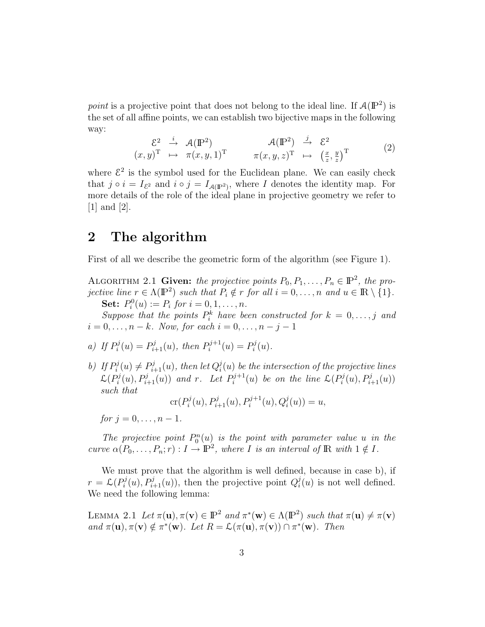point is a projective point that does not belong to the ideal line. If  $\mathcal{A}(\mathbb{P}^2)$  is the set of all affine points, we can establish two bijective maps in the following way:

$$
\begin{array}{cccc}\n\mathcal{E}^{2} & \xrightarrow{i} & \mathcal{A}(\mathbb{P}^{2}) & \mathcal{A}(\mathbb{P}^{2}) & \xrightarrow{j} & \mathcal{E}^{2} \\
(x,y)^{T} & \mapsto & \pi(x,y,1)^{T} & \pi(x,y,z)^{T} & \mapsto & \left(\frac{x}{z},\frac{y}{z}\right)^{T}\n\end{array} \tag{2}
$$

where  $\mathcal{E}^2$  is the symbol used for the Euclidean plane. We can easily check that  $j \circ i = I_{\mathcal{E}^2}$  and  $i \circ j = I_{\mathcal{A}(\mathbb{P}^2)}$ , where I denotes the identity map. For more details of the role of the ideal plane in projective geometry we refer to [1] and [2].

#### 2 The algorithm

First of all we describe the geometric form of the algorithm (see Figure 1).

ALGORITHM 2.1 Given: the projective points  $P_0, P_1, \ldots, P_n \in \mathbb{P}^2$ , the projective line  $r \in \Lambda(\mathbb{P}^2)$  such that  $P_i \notin r$  for all  $i = 0, \ldots, n$  and  $u \in \mathbb{R} \setminus \{1\}.$ **Set:**  $P_i^0(u) := P_i$  for  $i = 0, 1, ..., n$ .

Suppose that the points  $P_i^k$  have been constructed for  $k = 0, \ldots, j$  and  $i = 0, \ldots, n - k$ . Now, for each  $i = 0, \ldots, n - j - 1$ 

a) If 
$$
P_i^j(u) = P_{i+1}^j(u)
$$
, then  $P_i^{j+1}(u) = P_i^j(u)$ .

b) If  $P_i^j$  $p_i^j(u) \neq P_{i+1}^j(u)$ , then let  $Q_i^j$  $\hat{u}_i^j(u)$  be the intersection of the projective lines  $\mathcal{L}(P_i^j$  $P_i^j(u), P_{i+1}^j(u)$  and r. Let  $P_i^{j+1}$  $\mathcal{L}_i^{j+1}(u)$  be on the line  $\mathcal{L}(P_i^j)$  $P_i^j(u), P_{i+1}^j(u))$ such that

$$
\operatorname{cr}(P_i^j(u), P_{i+1}^j(u), P_i^{j+1}(u), Q_i^j(u)) = u,
$$

for  $j = 0, \ldots, n - 1$ .

The projective point  $P_0^n(u)$  is the point with parameter value u in the curve  $\alpha(P_0,\ldots,P_n;r): I \to \mathbb{P}^2$ , where I is an interval of R with  $1 \notin I$ .

We must prove that the algorithm is well defined, because in case b), if  $r = \mathcal{L}(P_i^j)$  $P_i^j(u), P_{i+1}^j(u)$ , then the projective point  $Q_i^j$  $i(u)$  is not well defined. We need the following lemma:

LEMMA 2.1 Let  $\pi(\mathbf{u}), \pi(\mathbf{v}) \in \mathbb{P}^2$  and  $\pi^*(\mathbf{w}) \in \Lambda(\mathbb{P}^2)$  such that  $\pi(\mathbf{u}) \neq \pi(\mathbf{v})$ and  $\pi(\mathbf{u}), \pi(\mathbf{v}) \notin \pi^*(\mathbf{w})$ . Let  $R = \mathcal{L}(\pi(\mathbf{u}), \pi(\mathbf{v})) \cap \pi^*(\mathbf{w})$ . Then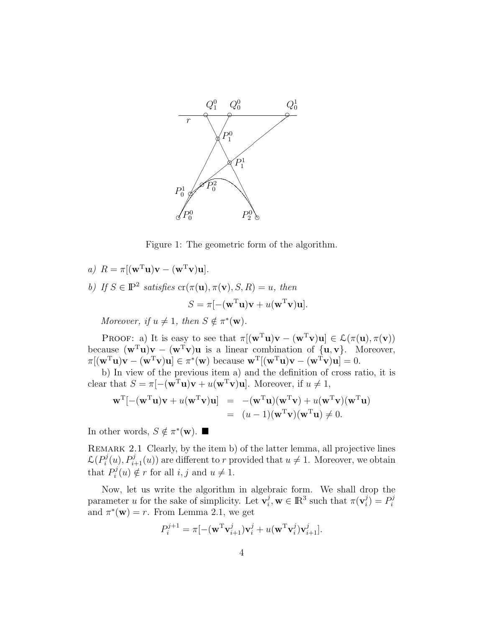

Figure 1: The geometric form of the algorithm.

a)  $R = \pi[(\mathbf{w}^T \mathbf{u})\mathbf{v} - (\mathbf{w}^T \mathbf{v})\mathbf{u}].$ b) If  $S \in \mathbb{P}^2$  satisfies  $\mathrm{cr}(\pi(\mathbf{u}), \pi(\mathbf{v}), S, R) = u$ , then  $S = \pi [-(\mathbf{w}^T \mathbf{u})\mathbf{v} + u(\mathbf{w}^T \mathbf{v})\mathbf{u}].$ 

Moreover, if  $u \neq 1$ , then  $S \notin \pi^*(\mathbf{w})$ .

PROOF: a) It is easy to see that  $\pi[(\mathbf{w}^T\mathbf{u})\mathbf{v} - (\mathbf{w}^T\mathbf{v})\mathbf{u}] \in \mathcal{L}(\pi(\mathbf{u}), \pi(\mathbf{v}))$ because  $(\mathbf{w}^T \mathbf{u})\mathbf{v} - (\mathbf{w}^T \mathbf{v})\mathbf{u}$  is a linear combination of  $\{\mathbf{u}, \mathbf{v}\}\)$ . Moreover,  $\pi[(\mathbf{w}^T\mathbf{u})\mathbf{v} - (\mathbf{w}^T\mathbf{v})\mathbf{u}] \in \pi^*(\mathbf{w})$  because  $\mathbf{w}^T[(\mathbf{w}^T\mathbf{u})\mathbf{v} - (\mathbf{w}^T\mathbf{v})\mathbf{u}] = 0$ .

b) In view of the previous item a) and the definition of cross ratio, it is clear that  $S = \pi [-(\mathbf{w}^T \mathbf{u})\mathbf{v} + u(\mathbf{w}^T \mathbf{v})\mathbf{u}]$ . Moreover, if  $u \neq 1$ ,

$$
\mathbf{w}^{\mathrm{T}}[-(\mathbf{w}^{\mathrm{T}}\mathbf{u})\mathbf{v} + u(\mathbf{w}^{\mathrm{T}}\mathbf{v})\mathbf{u}] = -(\mathbf{w}^{\mathrm{T}}\mathbf{u})(\mathbf{w}^{\mathrm{T}}\mathbf{v}) + u(\mathbf{w}^{\mathrm{T}}\mathbf{v})(\mathbf{w}^{\mathrm{T}}\mathbf{u})
$$
  
=  $(u - 1)(\mathbf{w}^{\mathrm{T}}\mathbf{v})(\mathbf{w}^{\mathrm{T}}\mathbf{u}) \neq 0.$ 

In other words,  $S \notin \pi^*(\mathbf{w})$ .

REMARK 2.1 Clearly, by the item b) of the latter lemma, all projective lines  $\mathcal{L}(P_i^j$  $i(u), P_{i+1}^j(u)$  are different to r provided that  $u \neq 1$ . Moreover, we obtain that  $P_i^j$  $i_i^j(u) \notin r$  for all  $i, j$  and  $u \neq 1$ .

Now, let us write the algorithm in algebraic form. We shall drop the parameter u for the sake of simplicity. Let  $\mathbf{v}_i^j$  $i, \mathbf{w} \in \mathbb{R}^3$  such that  $\pi(\mathbf{v}_i^j)$  $\binom{j}{i} = P_i^j$ i and  $\pi^*(\mathbf{w}) = r$ . From Lemma 2.1, we get

$$
P_i^{j+1} = \pi [-(\mathbf{w}^{\mathrm{T}} \mathbf{v}_{i+1}^j) \mathbf{v}_i^j + u(\mathbf{w}^{\mathrm{T}} \mathbf{v}_i^j) \mathbf{v}_{i+1}^j].
$$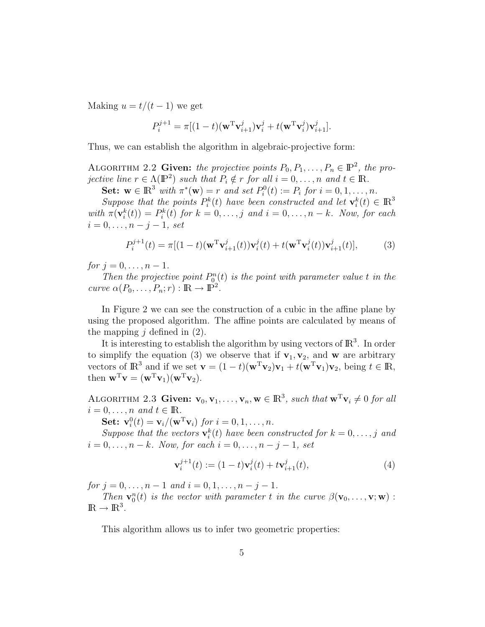Making  $u = t/(t-1)$  we get

$$
P_i^{j+1} = \pi[(1-t)(\mathbf{w}^{\mathrm{T}} \mathbf{v}_{i+1}^j) \mathbf{v}_i^j + t(\mathbf{w}^{\mathrm{T}} \mathbf{v}_i^j) \mathbf{v}_{i+1}^j].
$$

Thus, we can establish the algorithm in algebraic-projective form:

ALGORITHM 2.2 Given: the projective points  $P_0, P_1, \ldots, P_n \in \mathbb{P}^2$ , the projective line  $r \in \Lambda(\mathbb{P}^2)$  such that  $P_i \notin r$  for all  $i = 0, \ldots, n$  and  $t \in \mathbb{R}$ .

**Set:**  $\mathbf{w} \in \mathbb{R}^3$  with  $\pi^*(\mathbf{w}) = r$  and set  $P_i^0(t) := P_i$  for  $i = 0, 1, ..., n$ .

Suppose that the points  $P_i^k(t)$  have been constructed and let  $\mathbf{v}_i^k(t) \in \mathbb{R}^3$ with  $\pi(\mathbf{v}_i^k(t)) = P_i^k(t)$  for  $k = 0, \ldots, j$  and  $i = 0, \ldots, n - k$ . Now, for each  $i = 0, \ldots, n - j - 1, set$ 

$$
P_i^{j+1}(t) = \pi[(1-t)(\mathbf{w}^{\mathrm{T}} \mathbf{v}_{i+1}^j(t))\mathbf{v}_i^j(t) + t(\mathbf{w}^{\mathrm{T}} \mathbf{v}_i^j(t))\mathbf{v}_{i+1}^j(t)],
$$
 (3)

for  $j = 0, ..., n - 1$ .

Then the projective point  $P_0^n(t)$  is the point with parameter value t in the curve  $\alpha(P_0, \ldots, P_n; r) : \mathbb{R} \to \mathbb{P}^2$ .

In Figure 2 we can see the construction of a cubic in the affine plane by using the proposed algorithm. The affine points are calculated by means of the mapping  $j$  defined in  $(2)$ .

It is interesting to establish the algorithm by using vectors of  $\mathbb{R}^3$ . In order to simplify the equation (3) we observe that if  $v_1, v_2$ , and w are arbitrary vectors of  $\mathbb{R}^3$  and if we set  $\mathbf{v} = (1-t)(\mathbf{w}^T \mathbf{v}_2) \mathbf{v}_1 + t(\mathbf{w}^T \mathbf{v}_1) \mathbf{v}_2$ , being  $t \in \mathbb{R}$ , then  $\mathbf{w}^T \mathbf{v} = (\mathbf{w}^T \mathbf{v}_1)(\mathbf{w}^T \mathbf{v}_2).$ 

ALGORITHM 2.3 Given:  $\mathbf{v}_0, \mathbf{v}_1, \ldots, \mathbf{v}_n, \mathbf{w} \in \mathbb{R}^3$ , such that  $\mathbf{w}^T \mathbf{v}_i \neq 0$  for all  $i = 0, \ldots, n$  and  $t \in \mathbb{R}$ .

**Set:**  $\mathbf{v}_i^0(t) = \mathbf{v}_i/(\mathbf{w}^T \mathbf{v}_i)$  for  $i = 0, 1, \dots, n$ .

Suppose that the vectors  $\mathbf{v}_i^k(t)$  have been constructed for  $k = 0, \ldots, j$  and  $i = 0, \ldots, n - k$ . Now, for each  $i = 0, \ldots, n - j - 1$ , set

$$
\mathbf{v}_{i}^{j+1}(t) := (1-t)\mathbf{v}_{i}^{j}(t) + t\mathbf{v}_{i+1}^{j}(t),
$$
\n(4)

for  $j = 0, \ldots, n - 1$  and  $i = 0, 1, \ldots, n - j - 1$ .

Then  $\mathbf{v}_0^n(t)$  is the vector with parameter t in the curve  $\beta(\mathbf{v}_0,\ldots,\mathbf{v};\mathbf{w})$ :  $\mathbb{R} \to \mathbb{R}^3$ .

This algorithm allows us to infer two geometric properties: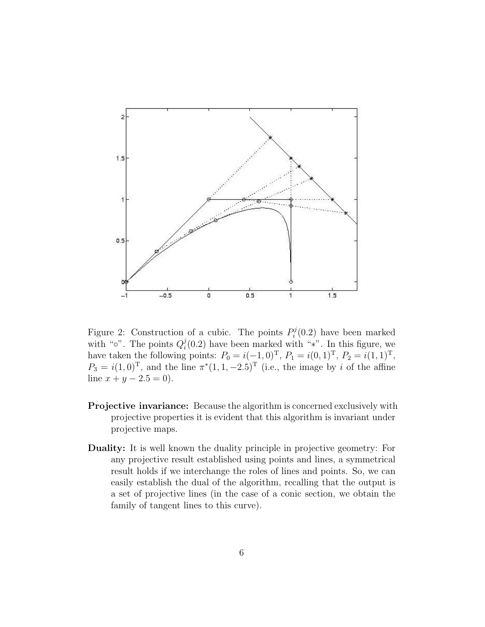

Figure 2: Construction of a cubic. The points  $P_i^j$  $\mathcal{E}_i^j(0.2)$  have been marked with " $\circ$ ". The points  $Q_i^j$  $i(0.2)$  have been marked with "\*". In this figure, we have taken the following points:  $P_0 = i(-1,0)^T$ ,  $P_1 = i(0,1)^T$ ,  $P_2 = i(1,1)^T$ ,  $P_3 = i(1,0)^T$ , and the line  $\pi^*(1,1,-2.5)^T$  (i.e., the image by i of the affine line  $x + y - 2.5 = 0$ ).

- Projective invariance: Because the algorithm is concerned exclusively with projective properties it is evident that this algorithm is invariant under projective maps.
- Duality: It is well known the duality principle in projective geometry: For any projective result established using points and lines, a symmetrical result holds if we interchange the roles of lines and points. So, we can easily establish the dual of the algorithm, recalling that the output is a set of projective lines (in the case of a conic section, we obtain the family of tangent lines to this curve).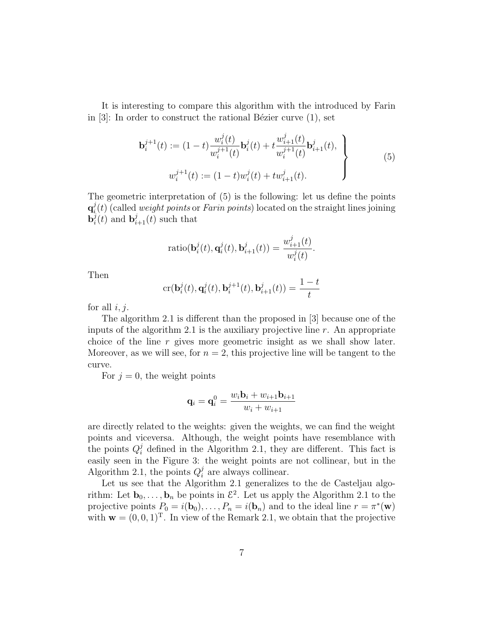It is interesting to compare this algorithm with the introduced by Farin in  $[3]$ : In order to construct the rational Bézier curve  $(1)$ , set

$$
\mathbf{b}_{i}^{j+1}(t) := (1-t)\frac{w_{i}^{j}(t)}{w_{i}^{j+1}(t)}\mathbf{b}_{i}^{j}(t) + t\frac{w_{i+1}^{j}(t)}{w_{i}^{j+1}(t)}\mathbf{b}_{i+1}^{j}(t),
$$
\n
$$
w_{i}^{j+1}(t) := (1-t)w_{i}^{j}(t) + tw_{i+1}^{j}(t).
$$
\n(5)

The geometric interpretation of (5) is the following: let us define the points  $\mathbf{q}_i^j$  $i(t)$  (called *weight points* or *Farin points*) located on the straight lines joining  $\mathbf{b}_i^j$  $\mathbf{b}_i^j(t)$  and  $\mathbf{b}_{i+1}^j(t)$  such that

$$
\operatorname{ratio}(\mathbf{b}_i^j(t),\mathbf{q}_i^j(t),\mathbf{b}_{i+1}^j(t))=\frac{w_{i+1}^j(t)}{w_i^j(t)}.
$$

Then

$$
\operatorname{cr}(\mathbf{b}_i^j(t),\mathbf{q}_i^j(t),\mathbf{b}_i^{j+1}(t),\mathbf{b}_{i+1}^j(t)) = \frac{1-t}{t}
$$

for all  $i, j$ .

The algorithm 2.1 is different than the proposed in [3] because one of the inputs of the algorithm 2.1 is the auxiliary projective line  $r$ . An appropriate choice of the line r gives more geometric insight as we shall show later. Moreover, as we will see, for  $n = 2$ , this projective line will be tangent to the curve.

For  $j = 0$ , the weight points

$$
\mathbf{q}_i = \mathbf{q}_i^0 = \frac{w_i \mathbf{b}_i + w_{i+1} \mathbf{b}_{i+1}}{w_i + w_{i+1}}
$$

are directly related to the weights: given the weights, we can find the weight points and viceversa. Although, the weight points have resemblance with the points  $Q_i^j$  defined in the Algorithm 2.1, they are different. This fact is easily seen in the Figure 3: the weight points are not collinear, but in the Algorithm 2.1, the points  $Q_i^j$  $i$  are always collinear.

Let us see that the Algorithm 2.1 generalizes to the de Casteljau algorithm: Let  $\mathbf{b}_0, \ldots, \mathbf{b}_n$  be points in  $\mathcal{E}^2$ . Let us apply the Algorithm 2.1 to the projective points  $P_0 = i(\mathbf{b}_0), \dots, P_n = i(\mathbf{b}_n)$  and to the ideal line  $r = \pi^*(\mathbf{w})$ with  $\mathbf{w} = (0, 0, 1)^T$ . In view of the Remark 2.1, we obtain that the projective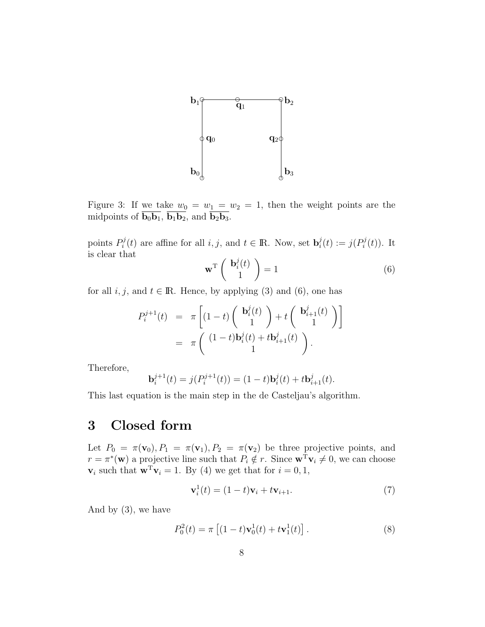

Figure 3: If we take  $w_0 = w_1 = w_2 = 1$ , then the weight points are the midpoints of  $\overline{\mathbf{b}_0 \mathbf{b}_1}$ ,  $\overline{\mathbf{b}_1 \mathbf{b}_2}$ , and  $\overline{\mathbf{b}_2 \mathbf{b}_3}$ .

points  $P_i^j$  $i_i^{j}(t)$  are affine for all  $i, j$ , and  $t \in \mathbb{R}$ . Now, set  $\mathbf{b}_i^{j}$  $i_i^j(t) := j(P_i^j)$  $P_i^{\jmath}(t)$ ). It is clear that

$$
\mathbf{w}^{\mathrm{T}} \begin{pmatrix} \mathbf{b}_i^j(t) \\ 1 \end{pmatrix} = 1 \tag{6}
$$

for all  $i, j$ , and  $t \in \mathbb{R}$ . Hence, by applying (3) and (6), one has

$$
P_i^{j+1}(t) = \pi \left[ (1-t) \begin{pmatrix} \mathbf{b}_i^j(t) \\ 1 \end{pmatrix} + t \begin{pmatrix} \mathbf{b}_{i+1}^j(t) \\ 1 \end{pmatrix} \right]
$$
  
=  $\pi \begin{pmatrix} (1-t)\mathbf{b}_i^j(t) + t\mathbf{b}_{i+1}^j(t) \\ 1 \end{pmatrix}.$ 

Therefore,

$$
\mathbf{b}_{i}^{j+1}(t) = j(P_i^{j+1}(t)) = (1-t)\mathbf{b}_{i}^{j}(t) + t\mathbf{b}_{i+1}^{j}(t).
$$

This last equation is the main step in the de Casteljau's algorithm.

# 3 Closed form

Let  $P_0 = \pi(\mathbf{v}_0), P_1 = \pi(\mathbf{v}_1), P_2 = \pi(\mathbf{v}_2)$  be three projective points, and  $r = \pi^*(\mathbf{w})$  a projective line such that  $P_i \notin r$ . Since  $\mathbf{w}^T \mathbf{v}_i \neq 0$ , we can choose  $\mathbf{v}_i$  such that  $\mathbf{w}^T \mathbf{v}_i = 1$ . By (4) we get that for  $i = 0, 1$ ,

$$
\mathbf{v}_i^1(t) = (1-t)\mathbf{v}_i + t\mathbf{v}_{i+1}.\tag{7}
$$

And by (3), we have

$$
P_0^2(t) = \pi \left[ (1 - t) \mathbf{v}_0^1(t) + t \mathbf{v}_1^1(t) \right]. \tag{8}
$$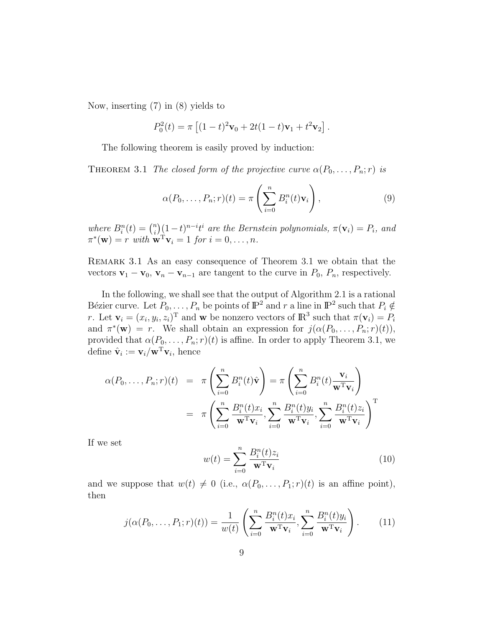Now, inserting (7) in (8) yields to

$$
P_0^2(t) = \pi \left[ (1-t)^2 \mathbf{v}_0 + 2t(1-t)\mathbf{v}_1 + t^2 \mathbf{v}_2 \right].
$$

The following theorem is easily proved by induction:

THEOREM 3.1 The closed form of the projective curve  $\alpha(P_0, \ldots, P_n; r)$  is

$$
\alpha(P_0, \dots, P_n; r)(t) = \pi \left( \sum_{i=0}^n B_i^n(t) \mathbf{v}_i \right),\tag{9}
$$

where  $B_i^n(t) = \binom{n}{i}$  $\sum_{i=1}^{n} (1-t)^{n-i} t^i$  are the Bernstein polynomials,  $\pi(\mathbf{v}_i) = P_i$ , and  $\pi^*(\mathbf{w}) = r$  with  $\mathbf{w}^T \mathbf{v}_i = 1$  for  $i = 0, \ldots, n$ .

Remark 3.1 As an easy consequence of Theorem 3.1 we obtain that the vectors  $\mathbf{v}_1 - \mathbf{v}_0$ ,  $\mathbf{v}_n - \mathbf{v}_{n-1}$  are tangent to the curve in  $P_0$ ,  $P_n$ , respectively.

In the following, we shall see that the output of Algorithm 2.1 is a rational Bézier curve. Let  $P_0, \ldots, P_n$  be points of  $\mathbb{P}^2$  and r a line in  $\mathbb{P}^2$  such that  $P_i \notin$ r. Let  $\mathbf{v}_i = (x_i, y_i, z_i)^T$  and w be nonzero vectors of  $\mathbb{R}^3$  such that  $\pi(\mathbf{v}_i) = P_i$ and  $\pi^*(\mathbf{w}) = r$ . We shall obtain an expression for  $j(\alpha(P_0, \ldots, P_n; r)(t)),$ provided that  $\alpha(P_0, \ldots, P_n; r)(t)$  is affine. In order to apply Theorem 3.1, we define  $\hat{\mathbf{v}}_i := \mathbf{v}_i / \mathbf{w}^{\mathrm{T}} \mathbf{v}_i$ , hence

$$
\alpha(P_0, \dots, P_n; r)(t) = \pi \left( \sum_{i=0}^n B_i^n(t) \hat{\mathbf{v}} \right) = \pi \left( \sum_{i=0}^n B_i^n(t) \frac{\mathbf{v}_i}{\mathbf{w}^T \mathbf{v}_i} \right)
$$

$$
= \pi \left( \sum_{i=0}^n \frac{B_i^n(t) x_i}{\mathbf{w}^T \mathbf{v}_i}, \sum_{i=0}^n \frac{B_i^n(t) y_i}{\mathbf{w}^T \mathbf{v}_i}, \sum_{i=0}^n \frac{B_i^n(t) z_i}{\mathbf{w}^T \mathbf{v}_i} \right)^T
$$

If we set

$$
w(t) = \sum_{i=0}^{n} \frac{B_i^n(t)z_i}{\mathbf{w}^{\mathrm{T}} \mathbf{v}_i}
$$
(10)

and we suppose that  $w(t) \neq 0$  (i.e.,  $\alpha(P_0, \ldots, P_1; r)(t)$  is an affine point), then

$$
j(\alpha(P_0,\ldots,P_1;r)(t)) = \frac{1}{w(t)} \left( \sum_{i=0}^n \frac{B_i^n(t)x_i}{\mathbf{w}^T \mathbf{v}_i}, \sum_{i=0}^n \frac{B_i^n(t)y_i}{\mathbf{w}^T \mathbf{v}_i} \right). \tag{11}
$$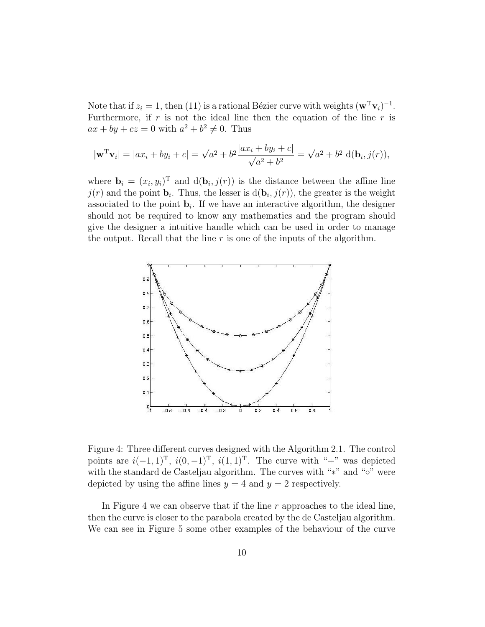Note that if  $z_i = 1$ , then (11) is a rational Bézier curve with weights  $(\mathbf{w}^T \mathbf{v}_i)^{-1}$ . Furthermore, if  $r$  is not the ideal line then the equation of the line  $r$  is  $ax + by + cz = 0$  with  $a^2 + b^2 \neq 0$ . Thus

$$
|\mathbf{w}^{\mathrm{T}}\mathbf{v}_{i}| = |ax_{i} + by_{i} + c| = \sqrt{a^{2} + b^{2}} \frac{|ax_{i} + by_{i} + c|}{\sqrt{a^{2} + b^{2}}} = \sqrt{a^{2} + b^{2}} d(\mathbf{b}_{i}, j(r)),
$$

where  $\mathbf{b}_i = (x_i, y_i)^T$  and  $d(\mathbf{b}_i, j(r))$  is the distance between the affine line  $j(r)$  and the point  $\mathbf{b}_i$ . Thus, the lesser is  $d(\mathbf{b}_i, j(r))$ , the greater is the weight associated to the point  $\mathbf{b}_i$ . If we have an interactive algorithm, the designer should not be required to know any mathematics and the program should give the designer a intuitive handle which can be used in order to manage the output. Recall that the line  $r$  is one of the inputs of the algorithm.



Figure 4: Three different curves designed with the Algorithm 2.1. The control points are  $i(-1, 1)^{\text{T}}$ ,  $i(0, -1)^{\text{T}}$ ,  $i(1, 1)^{\text{T}}$ . The curve with "+" was depicted with the standard de Casteljau algorithm. The curves with "∗" and "∘" were depicted by using the affine lines  $y = 4$  and  $y = 2$  respectively.

In Figure 4 we can observe that if the line  $r$  approaches to the ideal line, then the curve is closer to the parabola created by the de Casteljau algorithm. We can see in Figure 5 some other examples of the behaviour of the curve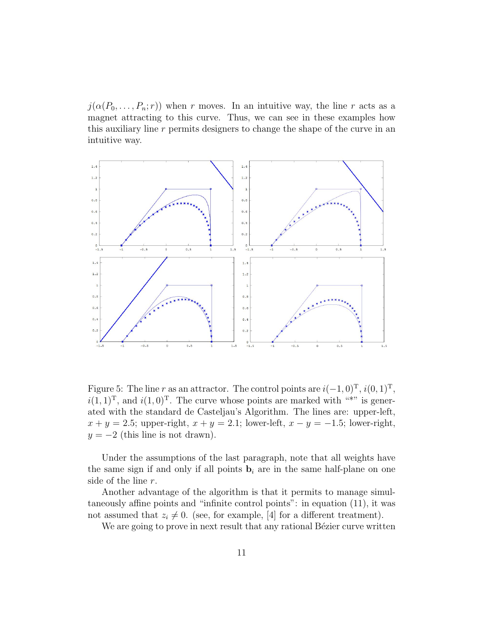$j(\alpha(P_0,\ldots,P_n;r))$  when r moves. In an intuitive way, the line r acts as a magnet attracting to this curve. Thus, we can see in these examples how this auxiliary line  $r$  permits designers to change the shape of the curve in an intuitive way.



Figure 5: The line r as an attractor. The control points are  $i(-1,0)^{\text{T}}, i(0,1)^{\text{T}},$  $i(1, 1)^{\mathrm{T}}$ , and  $i(1, 0)^{\mathrm{T}}$ . The curve whose points are marked with "\*" is generated with the standard de Casteljau's Algorithm. The lines are: upper-left,  $x + y = 2.5$ ; upper-right,  $x + y = 2.1$ ; lower-left,  $x - y = -1.5$ ; lower-right,  $y = -2$  (this line is not drawn).

Under the assumptions of the last paragraph, note that all weights have the same sign if and only if all points  $\mathbf{b}_i$  are in the same half-plane on one side of the line r.

Another advantage of the algorithm is that it permits to manage simultaneously affine points and "infinite control points": in equation (11), it was not assumed that  $z_i \neq 0$ . (see, for example, [4] for a different treatment).

We are going to prove in next result that any rational Bézier curve written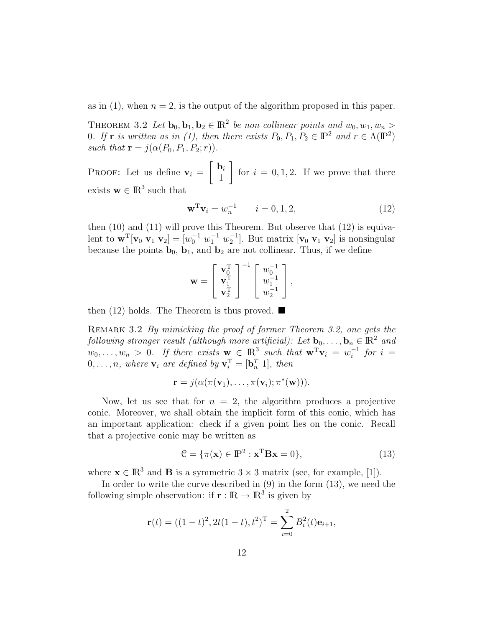as in (1), when  $n = 2$ , is the output of the algorithm proposed in this paper.

THEOREM 3.2 Let  $\mathbf{b}_0, \mathbf{b}_1, \mathbf{b}_2 \in \mathbb{R}^2$  be non collinear points and  $w_0, w_1, w_n >$ 0. If **r** is written as in (1), then there exists  $P_0, P_1, P_2 \in \mathbb{P}^2$  and  $r \in \Lambda(\mathbb{P}^2)$ such that  $\mathbf{r} = j(\alpha(P_0, P_1, P_2; r)).$ 

PROOF: Let us define  $v_i = \begin{bmatrix} b_i \\ 1 \end{bmatrix}$ 1 1 for  $i = 0, 1, 2$ . If we prove that there exists  $\mathbf{w} \in \mathbb{R}^3$  such that

$$
\mathbf{w}^{\mathrm{T}} \mathbf{v}_i = w_n^{-1} \qquad i = 0, 1, 2,
$$
 (12)

then  $(10)$  and  $(11)$  will prove this Theorem. But observe that  $(12)$  is equivalent to  $\mathbf{w}^T[\mathbf{v}_0 \; \mathbf{v}_1 \; \mathbf{v}_2] = [w_0^{-1} \; w_1^{-1} \; w_2^{-1}]$ . But matrix  $[\mathbf{v}_0 \; \mathbf{v}_1 \; \mathbf{v}_2]$  is nonsingular because the points  $\mathbf{b}_0$ ,  $\mathbf{b}_1$ , and  $\mathbf{b}_2$  are not collinear. Thus, if we define

$$
\mathbf{w} = \begin{bmatrix} \mathbf{v}_0^{\mathrm{T}} \\ \mathbf{v}_1^{\mathrm{T}} \\ \mathbf{v}_2^{\mathrm{T}} \end{bmatrix}^{-1} \begin{bmatrix} w_0^{-1} \\ w_1^{-1} \\ w_2^{-1} \end{bmatrix},
$$

then (12) holds. The Theorem is thus proved.  $\blacksquare$ 

REMARK 3.2 By mimicking the proof of former Theorem 3.2, one gets the following stronger result (although more artificial): Let  $\mathbf{b}_0, \ldots, \mathbf{b}_n \in \mathbb{R}^2$  and  $w_0, \ldots, w_n > 0$ . If there exists  $\mathbf{w} \in \mathbb{R}^3$  such that  $\mathbf{w}^T \mathbf{v}_i = w_i^{-1}$  $i^{-1}$  for  $i =$  $0, \ldots, n$ , where  $\mathbf{v}_i$  are defined by  $\mathbf{v}_i^{\mathrm{T}} = [\mathbf{b}_n^T \; 1]$ , then

$$
\mathbf{r} = j(\alpha(\pi(\mathbf{v}_1), \dots, \pi(\mathbf{v}_i); \pi^*(\mathbf{w}))).
$$

Now, let us see that for  $n = 2$ , the algorithm produces a projective conic. Moreover, we shall obtain the implicit form of this conic, which has an important application: check if a given point lies on the conic. Recall that a projective conic may be written as

$$
\mathcal{C} = \{\pi(\mathbf{x}) \in \mathbb{P}^2 : \mathbf{x}^T \mathbf{B} \mathbf{x} = 0\},\tag{13}
$$

where  $\mathbf{x} \in \mathbb{R}^3$  and **B** is a symmetric  $3 \times 3$  matrix (see, for example, [1]).

In order to write the curve described in  $(9)$  in the form  $(13)$ , we need the following simple observation: if  $\mathbf{r} : \mathbb{R} \to \mathbb{R}^3$  is given by

$$
\mathbf{r}(t) = ((1-t)^2, 2t(1-t), t^2)^{\mathrm{T}} = \sum_{i=0}^{2} B_i^2(t)\mathbf{e}_{i+1},
$$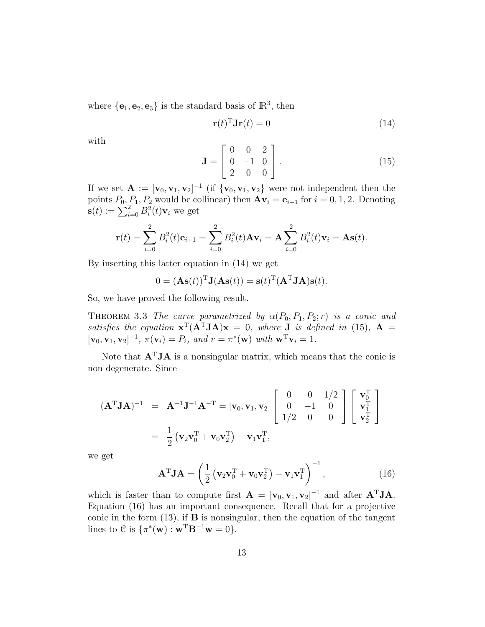where  $\{e_1, e_2, e_3\}$  is the standard basis of  $\mathbb{R}^3$ , then

$$
\mathbf{r}(t)^{\mathrm{T}}\mathbf{J}\mathbf{r}(t) = 0\tag{14}
$$

with

$$
\mathbf{J} = \begin{bmatrix} 0 & 0 & 2 \\ 0 & -1 & 0 \\ 2 & 0 & 0 \end{bmatrix} . \tag{15}
$$

If we set  $\mathbf{A} := [\mathbf{v}_0, \mathbf{v}_1, \mathbf{v}_2]^{-1}$  (if  $\{\mathbf{v}_0, \mathbf{v}_1, \mathbf{v}_2\}$  were not independent then the points  $P_0$ ,  $P_1$ ,  $P_2$  would be collinear) then  $A\mathbf{v}_i = \mathbf{e}_{i+1}$  for  $i = 0, 1, 2$ . Denoting  $\mathbf{s}(t) := \sum_{i=0}^{2} B_i^2(t) \mathbf{v}_i$  we get

$$
\mathbf{r}(t) = \sum_{i=0}^{2} B_i^2(t)\mathbf{e}_{i+1} = \sum_{i=0}^{2} B_i^2(t)\mathbf{A}\mathbf{v}_i = \mathbf{A} \sum_{i=0}^{2} B_i^2(t)\mathbf{v}_i = \mathbf{A}\mathbf{s}(t).
$$

By inserting this latter equation in (14) we get

$$
0 = (\mathbf{As}(t))^{\mathrm{T}} \mathbf{J}(\mathbf{As}(t)) = \mathbf{s}(t)^{\mathrm{T}} (\mathbf{A}^{\mathrm{T}} \mathbf{J} \mathbf{A}) \mathbf{s}(t).
$$

So, we have proved the following result.

THEOREM 3.3 The curve parametrized by  $\alpha(P_0, P_1, P_2; r)$  is a conic and satisfies the equation  $\mathbf{x}^T(A^TJA)\mathbf{x} = 0$ , where **J** is defined in (15),  $\mathbf{A} =$  $[\mathbf{v}_0, \mathbf{v}_1, \mathbf{v}_2]^{-1}, \pi(\mathbf{v}_i) = P_i$ , and  $r = \pi^*(\mathbf{w})$  with  $\mathbf{w}^T \mathbf{v}_i = 1$ .

Note that  $A<sup>T</sup>JA$  is a nonsingular matrix, which means that the conic is non degenerate. Since

$$
(\mathbf{A}^{\mathrm{T}} \mathbf{J} \mathbf{A})^{-1} = \mathbf{A}^{-1} \mathbf{J}^{-1} \mathbf{A}^{-T} = [\mathbf{v}_0, \mathbf{v}_1, \mathbf{v}_2] \begin{bmatrix} 0 & 0 & 1/2 \\ 0 & -1 & 0 \\ 1/2 & 0 & 0 \end{bmatrix} \begin{bmatrix} \mathbf{v}_0^{\mathrm{T}} \\ \mathbf{v}_1^{\mathrm{T}} \\ \mathbf{v}_2^{\mathrm{T}} \end{bmatrix}
$$
  
=  $\frac{1}{2} (\mathbf{v}_2 \mathbf{v}_0^{\mathrm{T}} + \mathbf{v}_0 \mathbf{v}_2^{\mathrm{T}}) - \mathbf{v}_1 \mathbf{v}_1^{\mathrm{T}},$ 

we get

$$
\mathbf{A}^{\mathrm{T}} \mathbf{J} \mathbf{A} = \left(\frac{1}{2} \left(\mathbf{v}_2 \mathbf{v}_0^{\mathrm{T}} + \mathbf{v}_0 \mathbf{v}_2^{\mathrm{T}}\right) - \mathbf{v}_1 \mathbf{v}_1^{\mathrm{T}}\right)^{-1},\tag{16}
$$

which is faster than to compute first  $\mathbf{A} = [\mathbf{v}_0, \mathbf{v}_1, \mathbf{v}_2]^{-1}$  and after  $\mathbf{A}^T \mathbf{J} \mathbf{A}$ . Equation (16) has an important consequence. Recall that for a projective conic in the form  $(13)$ , if **B** is nonsingular, then the equation of the tangent lines to  $C$  is  $\{\pi^*(\mathbf{w}) : \mathbf{w}^T \mathbf{B}^{-1} \mathbf{w} = 0\}.$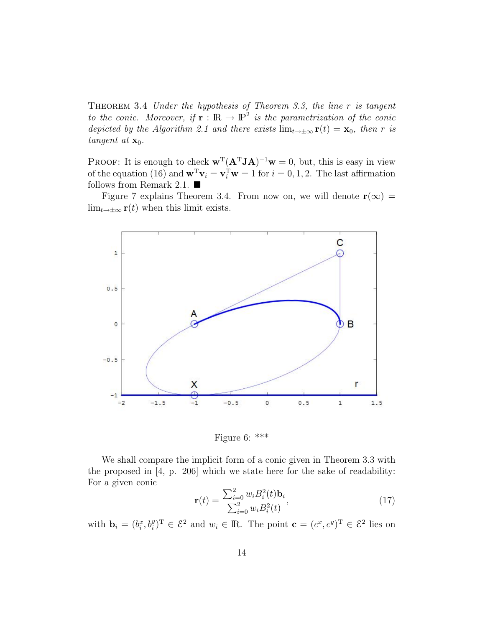THEOREM 3.4 Under the hypothesis of Theorem 3.3, the line  $r$  is tangent to the conic. Moreover, if  $\mathbf{r} : \mathbb{R} \to \mathbb{P}^2$  is the parametrization of the conic depicted by the Algorithm 2.1 and there exists  $\lim_{t\to\pm\infty} \mathbf{r}(t) = \mathbf{x}_0$ , then r is tangent at  $\mathbf{x}_0$ .

**PROOF:** It is enough to check  $\mathbf{w}^T (\mathbf{A}^T \mathbf{J} \mathbf{A})^{-1} \mathbf{w} = 0$ , but, this is easy in view of the equation (16) and  $\mathbf{w}^T \mathbf{v}_i = \mathbf{v}_i^T \mathbf{w} = 1$  for  $i = 0, 1, 2$ . The last affirmation follows from Remark 2.1.  $\blacksquare$ 

Figure 7 explains Theorem 3.4. From now on, we will denote  $\mathbf{r}(\infty)$  =  $\lim_{t\to\pm\infty} \mathbf{r}(t)$  when this limit exists.



Figure 6: \*\*\*

We shall compare the implicit form of a conic given in Theorem 3.3 with the proposed in [4, p. 206] which we state here for the sake of readability: For a given conic

$$
\mathbf{r}(t) = \frac{\sum_{i=0}^{2} w_i B_i^2(t) \mathbf{b}_i}{\sum_{i=0}^{2} w_i B_i^2(t)},
$$
\n(17)

with  $\mathbf{b}_i = (b_i^x, b_i^y)^\mathrm{T} \in \mathcal{E}^2$  and  $w_i \in \mathbb{R}$ . The point  $\mathbf{c} = (c^x, c^y)^\mathrm{T} \in \mathcal{E}^2$  lies on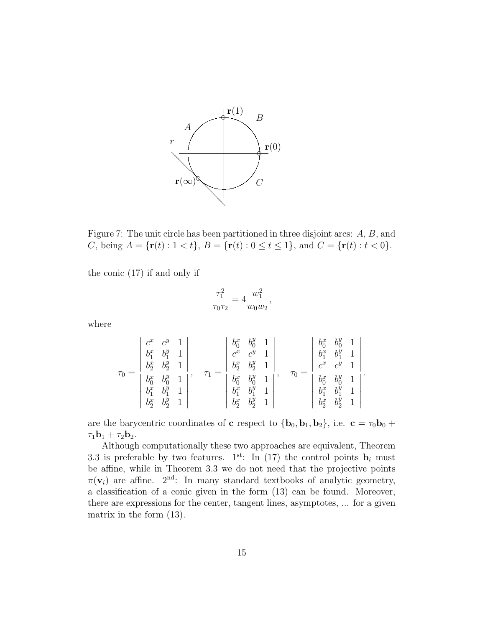

Figure 7: The unit circle has been partitioned in three disjoint arcs: A, B, and C, being  $A = {\mathbf{r}(t) : 1 < t}$ ,  $B = {\mathbf{r}(t) : 0 \le t \le 1}$ , and  $C = {\mathbf{r}(t) : t < 0}$ .

the conic (17) if and only if

$$
\frac{\tau_1^2}{\tau_0 \tau_2} = 4 \frac{w_1^2}{w_0 w_2},
$$

where

$$
\tau_0 = \frac{\left|\begin{array}{cc} c^x & c^y & 1\\ b_1^x & b_1^y & 1\\ b_2^x & b_2^y & 1\\ b_0^x & b_0^y & 1\\ b_1^x & b_1^y & 1\\ b_2^x & b_2^y & 1 \end{array}\right|}{\left|\begin{array}{cc} b_0^x & b_0^y & 1\\ b_0^x & c^y & 1\\ b_2^x & b_2^y & 1\\ b_1^x & b_1^y & 1\\ b_1^x & b_1^y & 1\\ b_2^x & b_2^y & 1 \end{array}\right|},\quad \tau_0 = \frac{\left|\begin{array}{cc} b_0^x & b_0^y & 1\\ b_1^x & b_1^y & 1\\ c^x & c^y & 1\\ b_0^x & b_0^y & 1\\ b_1^x & b_1^y & 1\\ b_2^x & b_2^y & 1 \end{array}\right|}.
$$

are the barycentric coordinates of **c** respect to  ${\bf \{b_0, b_1, b_2\}}$ , i.e.  ${\bf c} = \tau_0 {\bf b_0} +$  $\tau_1{\bf b}_1 + \tau_2{\bf b}_2.$ 

Although computationally these two approaches are equivalent, Theorem 3.3 is preferable by two features. 1<sup>st</sup>: In (17) the control points  $\mathbf{b}_i$  must be affine, while in Theorem 3.3 we do not need that the projective points  $\pi(\mathbf{v}_i)$  are affine.  $2^{\text{nd}}$ : In many standard textbooks of analytic geometry, a classification of a conic given in the form (13) can be found. Moreover, there are expressions for the center, tangent lines, asymptotes, ... for a given matrix in the form (13).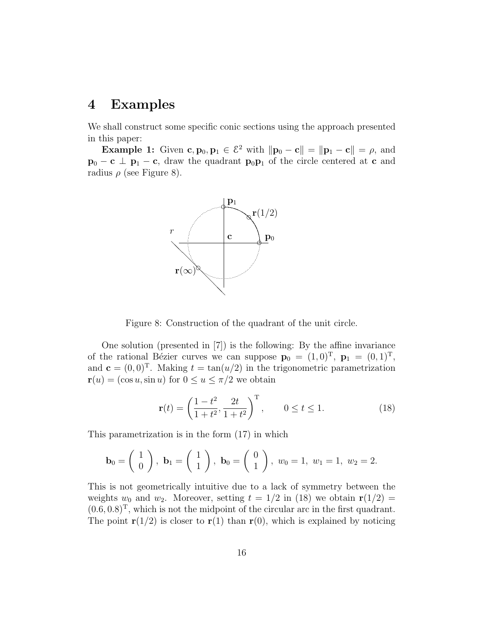#### 4 Examples

We shall construct some specific conic sections using the approach presented in this paper:

**Example 1:** Given  $\mathbf{c}, \mathbf{p}_0, \mathbf{p}_1 \in \mathcal{E}^2$  with  $\|\mathbf{p}_0 - \mathbf{c}\| = \|\mathbf{p}_1 - \mathbf{c}\| = \rho$ , and  $\mathbf{p}_0 - \mathbf{c} \perp \mathbf{p}_1 - \mathbf{c}$ , draw the quadrant  $\mathbf{p}_0 \mathbf{p}_1$  of the circle centered at c and radius  $\rho$  (see Figure 8).



Figure 8: Construction of the quadrant of the unit circle.

One solution (presented in [7]) is the following: By the affine invariance of the rational Bézier curves we can suppose  $\mathbf{p}_0 = (1, 0)^T$ ,  $\mathbf{p}_1 = (0, 1)^T$ , and  $\mathbf{c} = (0, 0)^T$ . Making  $t = \tan(u/2)$  in the trigonometric parametrization  $\mathbf{r}(u) = (\cos u, \sin u)$  for  $0 \le u \le \pi/2$  we obtain

$$
\mathbf{r}(t) = \left(\frac{1-t^2}{1+t^2}, \frac{2t}{1+t^2}\right)^{\mathrm{T}}, \qquad 0 \le t \le 1.
$$
 (18)

This parametrization is in the form (17) in which

$$
\mathbf{b}_0 = \begin{pmatrix} 1 \\ 0 \end{pmatrix}, \ \mathbf{b}_1 = \begin{pmatrix} 1 \\ 1 \end{pmatrix}, \ \mathbf{b}_0 = \begin{pmatrix} 0 \\ 1 \end{pmatrix}, \ w_0 = 1, \ w_1 = 1, \ w_2 = 2.
$$

This is not geometrically intuitive due to a lack of symmetry between the weights  $w_0$  and  $w_2$ . Moreover, setting  $t = 1/2$  in (18) we obtain  $\mathbf{r}(1/2) =$  $(0.6, 0.8)^T$ , which is not the midpoint of the circular arc in the first quadrant. The point  $\mathbf{r}(1/2)$  is closer to  $\mathbf{r}(1)$  than  $\mathbf{r}(0)$ , which is explained by noticing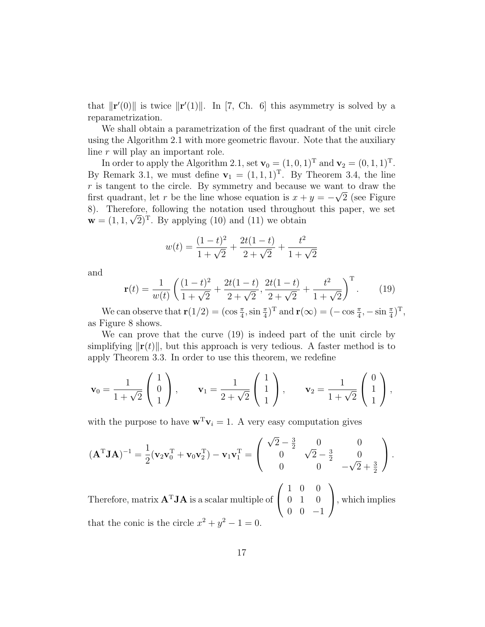that  $\|\mathbf{r}'(0)\|$  is twice  $\|\mathbf{r}'(1)\|$ . In [7, Ch. 6] this asymmetry is solved by a reparametrization.

We shall obtain a parametrization of the first quadrant of the unit circle using the Algorithm 2.1 with more geometric flavour. Note that the auxiliary line r will play an important role.

In order to apply the Algorithm 2.1, set  $\mathbf{v}_0 = (1, 0, 1)^T$  and  $\mathbf{v}_2 = (0, 1, 1)^T$ . By Remark 3.1, we must define  $\mathbf{v}_1 = (1, 1, 1)^T$ . By Theorem 3.4, the line r is tangent to the circle. By symmetry and because we want to draw the first quadrant, let r be the line whose equation is  $x + y = -\sqrt{2}$  (see Figure 8). Therefore, following the notation used throughout this paper, we set  $\mathbf{w} = (1, 1, \sqrt{2})^T$ . By applying (10) and (11) we obtain

$$
w(t) = \frac{(1-t)^2}{1+\sqrt{2}} + \frac{2t(1-t)}{2+\sqrt{2}} + \frac{t^2}{1+\sqrt{2}}
$$

and

$$
\mathbf{r}(t) = \frac{1}{w(t)} \left( \frac{(1-t)^2}{1+\sqrt{2}} + \frac{2t(1-t)}{2+\sqrt{2}}, \frac{2t(1-t)}{2+\sqrt{2}} + \frac{t^2}{1+\sqrt{2}} \right)^{\mathrm{T}}.
$$
 (19)

We can observe that  $\mathbf{r}(1/2) = (\cos \frac{\pi}{4}, \sin \frac{\pi}{4})^T$  and  $\mathbf{r}(\infty) = (-\cos \frac{\pi}{4}, -\sin \frac{\pi}{4})^T$ , as Figure 8 shows.

We can prove that the curve (19) is indeed part of the unit circle by simplifying  $\|\mathbf{r}(t)\|$ , but this approach is very tedious. A faster method is to apply Theorem 3.3. In order to use this theorem, we redefine

$$
\mathbf{v}_0 = \frac{1}{1 + \sqrt{2}} \begin{pmatrix} 1 \\ 0 \\ 1 \end{pmatrix}, \quad \mathbf{v}_1 = \frac{1}{2 + \sqrt{2}} \begin{pmatrix} 1 \\ 1 \\ 1 \end{pmatrix}, \quad \mathbf{v}_2 = \frac{1}{1 + \sqrt{2}} \begin{pmatrix} 0 \\ 1 \\ 1 \end{pmatrix},
$$

with the purpose to have  $\mathbf{w}^T \mathbf{v}_i = 1$ . A very easy computation gives

$$
(\mathbf{A}^{\mathrm{T}}\mathbf{J}\mathbf{A})^{-1} = \frac{1}{2}(\mathbf{v}_2\mathbf{v}_0^{\mathrm{T}} + \mathbf{v}_0\mathbf{v}_2^{\mathrm{T}}) - \mathbf{v}_1\mathbf{v}_1^{\mathrm{T}} = \begin{pmatrix} \sqrt{2} - \frac{3}{2} & 0 & 0 \\ 0 & \sqrt{2} - \frac{3}{2} & 0 \\ 0 & 0 & -\sqrt{2} + \frac{3}{2} \end{pmatrix}.
$$

Therefore, matrix  $A<sup>T</sup>JA$  is a scalar multiple of  $\sqrt{ }$  $\mathcal{L}$ 1 0 0 0 1 0  $0 \t 0 \t -1$  $\setminus$ , which implies that the conic is the circle  $x^2 + y^2 - 1 = 0$ .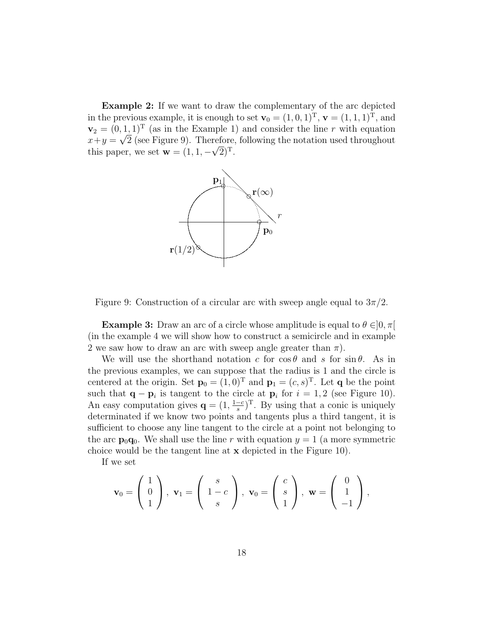Example 2: If we want to draw the complementary of the arc depicted in the previous example, it is enough to set  $\mathbf{v}_0 = (1, 0, 1)^\mathrm{T}$ ,  $\mathbf{v} = (1, 1, 1)^\mathrm{T}$ , and  $\mathbf{v}_2 = (0, 1, 1)^T$  (as in the Example 1) and consider the line r with equation  $x+y = \sqrt{2}$  (see Figure 9). Therefore, following the notation used throughout this paper, we set  $\mathbf{w} = (1, 1, -\sqrt{2})^T$ .



Figure 9: Construction of a circular arc with sweep angle equal to  $3\pi/2$ .

**Example 3:** Draw an arc of a circle whose amplitude is equal to  $\theta \in ]0, \pi[$ (in the example 4 we will show how to construct a semicircle and in example 2 we saw how to draw an arc with sweep angle greater than  $\pi$ ).

We will use the shorthand notation c for  $\cos \theta$  and s for  $\sin \theta$ . As in the previous examples, we can suppose that the radius is 1 and the circle is centered at the origin. Set  $\mathbf{p}_0 = (1,0)^T$  and  $\mathbf{p}_1 = (c, s)^T$ . Let **q** be the point such that  $\mathbf{q} - \mathbf{p}_i$  is tangent to the circle at  $\mathbf{p}_i$  for  $i = 1, 2$  (see Figure 10). An easy computation gives  $\mathbf{q} = (1, \frac{1-c}{s})$  $\frac{(-c)}{s}$ <sup>T</sup>. By using that a conic is uniquely determinated if we know two points and tangents plus a third tangent, it is sufficient to choose any line tangent to the circle at a point not belonging to the arc  $\mathbf{p}_0\mathbf{q}_0$ . We shall use the line r with equation  $y = 1$  (a more symmetric choice would be the tangent line at x depicted in the Figure 10).

If we set

$$
\mathbf{v}_0 = \begin{pmatrix} 1 \\ 0 \\ 1 \end{pmatrix}, \ \mathbf{v}_1 = \begin{pmatrix} s \\ 1-c \\ s \end{pmatrix}, \ \mathbf{v}_0 = \begin{pmatrix} c \\ s \\ 1 \end{pmatrix}, \ \mathbf{w} = \begin{pmatrix} 0 \\ 1 \\ -1 \end{pmatrix},
$$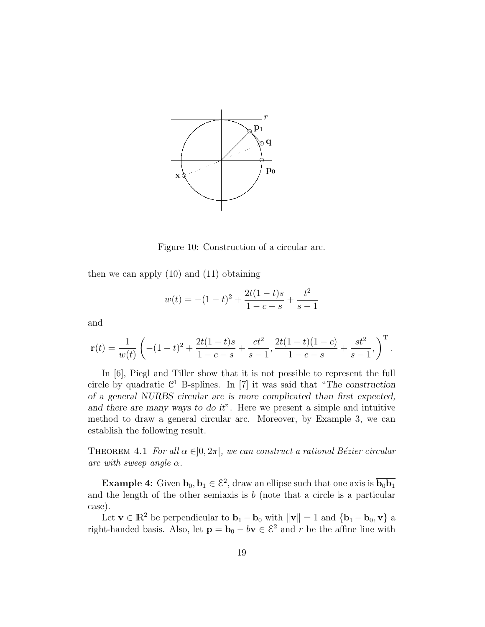

Figure 10: Construction of a circular arc.

then we can apply (10) and (11) obtaining

$$
w(t) = -(1-t)^2 + \frac{2t(1-t)s}{1-c-s} + \frac{t^2}{s-1}
$$

and

$$
\mathbf{r}(t) = \frac{1}{w(t)} \left( -(1-t)^2 + \frac{2t(1-t)s}{1-c-s} + \frac{ct^2}{s-1}, \frac{2t(1-t)(1-c)}{1-c-s} + \frac{st^2}{s-1}, \right)^{\mathrm{T}}.
$$

In [6], Piegl and Tiller show that it is not possible to represent the full circle by quadratic  $\mathbb{C}^1$  B-splines. In [7] it was said that "The construction of a general NURBS circular arc is more complicated than first expected, and there are many ways to do it". Here we present a simple and intuitive method to draw a general circular arc. Moreover, by Example 3, we can establish the following result.

THEOREM 4.1 For all  $\alpha \in ]0, 2\pi[$ , we can construct a rational Bézier circular arc with sweep angle  $\alpha$ .

**Example 4:** Given  $\mathbf{b}_0, \mathbf{b}_1 \in \mathcal{E}^2$ , draw an ellipse such that one axis is  $\overline{\mathbf{b}_0 \mathbf{b}_1}$ and the length of the other semiaxis is  $b$  (note that a circle is a particular case).

Let  $\mathbf{v} \in \mathbb{R}^2$  be perpendicular to  $\mathbf{b}_1 - \mathbf{b}_0$  with  $\|\mathbf{v}\| = 1$  and  $\{\mathbf{b}_1 - \mathbf{b}_0, \mathbf{v}\}\$  a right-handed basis. Also, let  $\mathbf{p} = \mathbf{b}_0 - b\mathbf{v} \in \mathcal{E}^2$  and r be the affine line with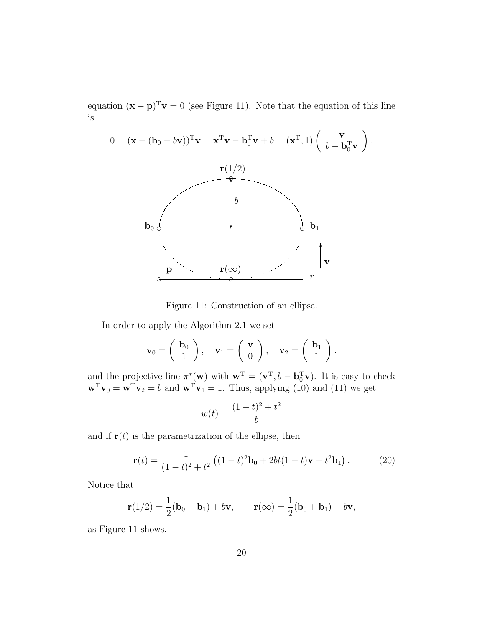equation  $(\mathbf{x} - \mathbf{p})^T \mathbf{v} = 0$  (see Figure 11). Note that the equation of this line is



Figure 11: Construction of an ellipse.

In order to apply the Algorithm 2.1 we set

$$
\mathbf{v}_0 = \begin{pmatrix} \mathbf{b}_0 \\ 1 \end{pmatrix}, \quad \mathbf{v}_1 = \begin{pmatrix} \mathbf{v} \\ 0 \end{pmatrix}, \quad \mathbf{v}_2 = \begin{pmatrix} \mathbf{b}_1 \\ 1 \end{pmatrix}.
$$

and the projective line  $\pi^*(\mathbf{w})$  with  $\mathbf{w}^T = (\mathbf{v}^T, b - \mathbf{b}_0^T \mathbf{v})$ . It is easy to check  $\mathbf{w}^T \mathbf{v}_0 = \mathbf{w}^T \mathbf{v}_2 = b$  and  $\mathbf{w}^T \mathbf{v}_1 = 1$ . Thus, applying (10) and (11) we get

$$
w(t) = \frac{(1-t)^2 + t^2}{b}
$$

and if  $r(t)$  is the parametrization of the ellipse, then

$$
\mathbf{r}(t) = \frac{1}{(1-t)^2 + t^2} \left( (1-t)^2 \mathbf{b}_0 + 2bt(1-t)\mathbf{v} + t^2 \mathbf{b}_1 \right). \tag{20}
$$

Notice that

$$
\mathbf{r}(1/2) = \frac{1}{2}(\mathbf{b}_0 + \mathbf{b}_1) + b\mathbf{v}, \qquad \mathbf{r}(\infty) = \frac{1}{2}(\mathbf{b}_0 + \mathbf{b}_1) - b\mathbf{v},
$$

as Figure 11 shows.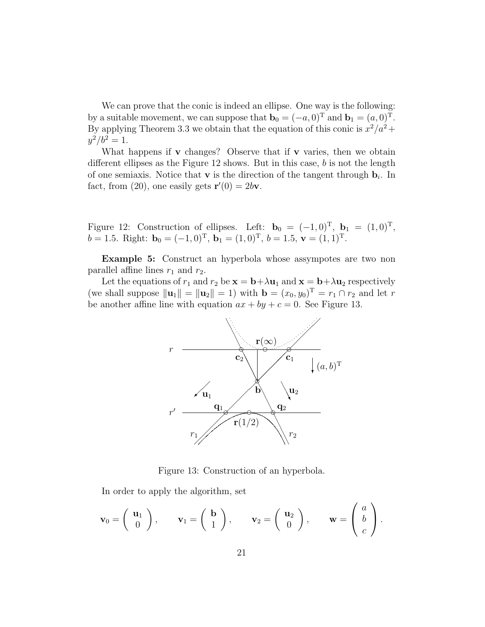We can prove that the conic is indeed an ellipse. One way is the following: by a suitable movement, we can suppose that  $\mathbf{b}_0 = (-a, 0)^T$  and  $\mathbf{b}_1 = (a, 0)^T$ . By applying Theorem 3.3 we obtain that the equation of this conic is  $x^2/a^2 +$  $y^2/b^2 = 1.$ 

What happens if  $\bf{v}$  changes? Observe that if  $\bf{v}$  varies, then we obtain different ellipses as the Figure  $12$  shows. But in this case, b is not the length of one semiaxis. Notice that **v** is the direction of the tangent through  $\mathbf{b}_i$ . In fact, from (20), one easily gets  $\mathbf{r}'(0) = 2b\mathbf{v}$ .

Figure 12: Construction of ellipses. Left:  $\mathbf{b}_0 = (-1, 0)^T$ ,  $\mathbf{b}_1 = (1, 0)^T$ ,  $b = 1.5$ . Right:  $\mathbf{b}_0 = (-1, 0)^T$ ,  $\mathbf{b}_1 = (1, 0)^T$ ,  $b = 1.5$ ,  $\mathbf{v} = (1, 1)^T$ .

Example 5: Construct an hyperbola whose assympotes are two non parallel affine lines  $r_1$  and  $r_2$ .

Let the equations of  $r_1$  and  $r_2$  be  $\mathbf{x} = \mathbf{b} + \lambda \mathbf{u}_1$  and  $\mathbf{x} = \mathbf{b} + \lambda \mathbf{u}_2$  respectively (we shall suppose  $\|\mathbf{u}_1\| = \|\mathbf{u}_2\| = 1$ ) with  $\mathbf{b} = (x_0, y_0)^T = r_1 \cap r_2$  and let r be another affine line with equation  $ax + by + c = 0$ . See Figure 13.



Figure 13: Construction of an hyperbola.

In order to apply the algorithm, set

$$
\mathbf{v}_0 = \begin{pmatrix} \mathbf{u}_1 \\ 0 \end{pmatrix}, \quad \mathbf{v}_1 = \begin{pmatrix} \mathbf{b} \\ 1 \end{pmatrix}, \quad \mathbf{v}_2 = \begin{pmatrix} \mathbf{u}_2 \\ 0 \end{pmatrix}, \quad \mathbf{w} = \begin{pmatrix} a \\ b \\ c \end{pmatrix}.
$$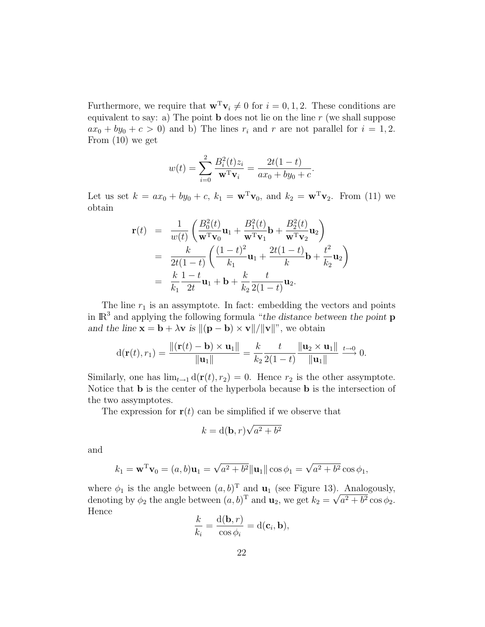Furthermore, we require that  $\mathbf{w}^T \mathbf{v}_i \neq 0$  for  $i = 0, 1, 2$ . These conditions are equivalent to say: a) The point **b** does not lie on the line  $r$  (we shall suppose  $ax_0 + by_0 + c > 0$  and b) The lines  $r_i$  and r are not parallel for  $i = 1, 2$ . From (10) we get

$$
w(t) = \sum_{i=0}^{2} \frac{B_i^2(t)z_i}{\mathbf{w}^T \mathbf{v}_i} = \frac{2t(1-t)}{ax_0 + by_0 + c}.
$$

Let us set  $k = ax_0 + by_0 + c$ ,  $k_1 = \mathbf{w}^T \mathbf{v}_0$ , and  $k_2 = \mathbf{w}^T \mathbf{v}_2$ . From (11) we obtain

$$
\mathbf{r}(t) = \frac{1}{w(t)} \left( \frac{B_0^2(t)}{\mathbf{w}^T \mathbf{v}_0} \mathbf{u}_1 + \frac{B_1^2(t)}{\mathbf{w}^T \mathbf{v}_1} \mathbf{b} + \frac{B_2^2(t)}{\mathbf{w}^T \mathbf{v}_2} \mathbf{u}_2 \right)
$$
  
\n
$$
= \frac{k}{2t(1-t)} \left( \frac{(1-t)^2}{k_1} \mathbf{u}_1 + \frac{2t(1-t)}{k} \mathbf{b} + \frac{t^2}{k_2} \mathbf{u}_2 \right)
$$
  
\n
$$
= \frac{k}{k_1} \frac{1-t}{2t} \mathbf{u}_1 + \mathbf{b} + \frac{k}{k_2} \frac{t}{2(1-t)} \mathbf{u}_2.
$$

The line  $r_1$  is an assymptote. In fact: embedding the vectors and points in  $\mathbb{R}^3$  and applying the following formula "the distance between the point **p** and the line  $\mathbf{x} = \mathbf{b} + \lambda \mathbf{v}$  is  $\|(\mathbf{p} - \mathbf{b}) \times \mathbf{v}\| / \|\mathbf{v}\|^n$ , we obtain

$$
d(\mathbf{r}(t), r_1) = \frac{\|(\mathbf{r}(t) - \mathbf{b}) \times \mathbf{u}_1\|}{\|\mathbf{u}_1\|} = \frac{k}{k_2} \frac{t}{2(1-t)} \frac{\|\mathbf{u}_2 \times \mathbf{u}_1\|}{\|\mathbf{u}_1\|} \stackrel{t \to 0}{\longrightarrow} 0.
$$

Similarly, one has  $\lim_{t\to 1} d(\mathbf{r}(t), r_2) = 0$ . Hence  $r_2$  is the other assymptote. Notice that b is the center of the hyperbola because b is the intersection of the two assymptotes.

The expression for  $r(t)$  can be simplified if we observe that

$$
k = \mathbf{d}(\mathbf{b}, r)\sqrt{a^2 + b^2}
$$

and

$$
k_1 = \mathbf{w}^T \mathbf{v}_0 = (a, b)\mathbf{u}_1 = \sqrt{a^2 + b^2} ||\mathbf{u}_1|| \cos \phi_1 = \sqrt{a^2 + b^2} \cos \phi_1,
$$

where  $\phi_1$  is the angle between  $(a, b)^T$  and  $\mathbf{u}_1$  (see Figure 13). Analogously, denoting by  $\phi_2$  the angle between  $(a, b)^T$  and  $\mathbf{u}_2$ , we get  $k_2 = \sqrt{a^2 + b^2} \cos \phi_2$ . Hence

$$
\frac{k}{k_i} = \frac{\mathrm{d}(\mathbf{b}, r)}{\cos \phi_i} = \mathrm{d}(\mathbf{c}_i, \mathbf{b}),
$$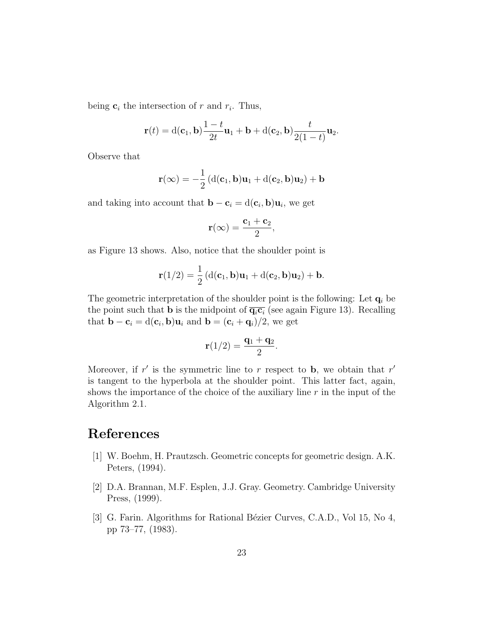being  $c_i$  the intersection of r and  $r_i$ . Thus,

$$
\mathbf{r}(t) = \mathrm{d}(\mathbf{c}_1, \mathbf{b}) \frac{1-t}{2t} \mathbf{u}_1 + \mathbf{b} + \mathrm{d}(\mathbf{c}_2, \mathbf{b}) \frac{t}{2(1-t)} \mathbf{u}_2.
$$

Observe that

$$
\mathbf{r}(\infty) = -\frac{1}{2} \left( d(\mathbf{c}_1, \mathbf{b}) \mathbf{u}_1 + d(\mathbf{c}_2, \mathbf{b}) \mathbf{u}_2 \right) + \mathbf{b}
$$

and taking into account that  $\mathbf{b} - \mathbf{c}_i = d(\mathbf{c}_i, \mathbf{b})\mathbf{u}_i$ , we get

$$
\mathbf{r}(\infty) = \frac{\mathbf{c}_1 + \mathbf{c}_2}{2},
$$

as Figure 13 shows. Also, notice that the shoulder point is

$$
\mathbf{r}(1/2) = \frac{1}{2} \left( d(\mathbf{c}_1, \mathbf{b}) \mathbf{u}_1 + d(\mathbf{c}_2, \mathbf{b}) \mathbf{u}_2 \right) + \mathbf{b}.
$$

The geometric interpretation of the shoulder point is the following: Let  $q_i$  be the point such that **b** is the midpoint of  $\overline{q_i c_i}$  (see again Figure 13). Recalling that  $\mathbf{b} - \mathbf{c}_i = d(\mathbf{c}_i, \mathbf{b}) \mathbf{u}_i$  and  $\mathbf{b} = (\mathbf{c}_i + \mathbf{q}_i)/2$ , we get

$$
\mathbf{r}(1/2)=\frac{\mathbf{q}_1+\mathbf{q}_2}{2}.
$$

Moreover, if  $r'$  is the symmetric line to r respect to b, we obtain that  $r'$ is tangent to the hyperbola at the shoulder point. This latter fact, again, shows the importance of the choice of the auxiliary line  $r$  in the input of the Algorithm 2.1.

# References

- [1] W. Boehm, H. Prautzsch. Geometric concepts for geometric design. A.K. Peters, (1994).
- [2] D.A. Brannan, M.F. Esplen, J.J. Gray. Geometry. Cambridge University Press, (1999).
- [3] G. Farin. Algorithms for Rational Bézier Curves, C.A.D., Vol 15, No 4, pp 73–77, (1983).